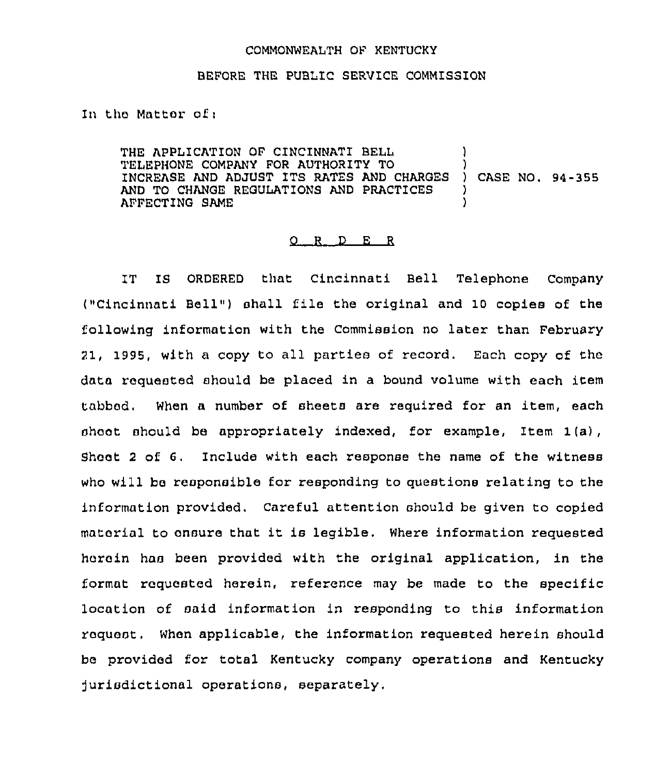## COMMONWEALTH OF KENTUCKY

## BEFORE THE PUBLIC SERVICE COMMISSION

In the Matter of:

THE APPLICATION OF CINCINNATI BELL TELEPHONE COMPANY FOR AUTHORITY TO (2008)<br>INCREASE AND ADJUST ITS RATES AND CHARGES (2008) CASE NO. 94-355 INCREASE AND ADJUST ITS RATES AND CHARGES AND TO CHANGE REGULATIONS AND PRACTICES AFFECTING SAME )

## O R D E R

IT IS ORDERED that Cincinnati Bell Telephone Company ("Cincinnati Bell") shall file the original and 10 copies of the following information with the Commission no later than February 21, 1995, with a copy to all parties of record. Each copy of the data requested should be placed in a bound volume with each item tabbed, When a number of sheets are required for an item, each shoot should be appropriately indexed, for example, Item  $1(a)$ , Sheet 2 of 6. Include with each response the name of the witness who will be responsible for responding to questions relating to the information provided, Careful attention should be given to copied material to ensure that it is legible. Where information requested herein has been provided with the original application, in the format requested herein, reference may be made to the specific location of said information in responding to this information request. When applicable, the information requested herein should be provided for total Kentucky company operations and Kentucky jurisdictional operations, separately,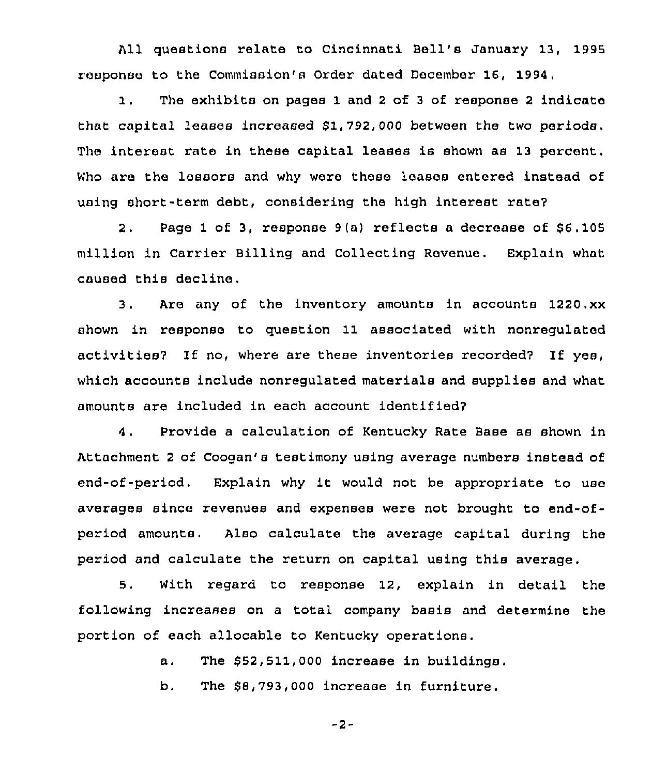All questions relate to Cincinnati Bell's January 13, 1995 response to the Commission's Order dated December 16, 1994,

1. The exhibits on pages <sup>1</sup> and <sup>2</sup> of <sup>3</sup> of response <sup>2</sup> indicate that capital leases increased \$1,792,000 between the two periods. The interest rate in these capital leases is shown as 13 percent. Who are the lessors and why were these leases entered instead of using short-term debt, considering the high interest rate?

2. Page 1 of 3, response  $9(a)$  reflects a decrease of  $$6,105$ million in Carrier Billing and Collecting Revenue. Explain what caused this decline.

3. Are any of the inventory amounts in accounts 1220.xx shown in response to question 11 associated with nonregulated activities7 If no, where are these inventories recorded7 If yes, which accounts include nonregulated materials and supplies and what amounts are included in each account identified7

<sup>4</sup> . Provide a calculation of Kentucky Rate Base as shown in Attachment <sup>2</sup> of Coogan's testimony using average numbers instead of end-of-period. Explain why it would not be appropriate to use averages since revenues and expenses were not brought to end-ofperiod amounts. Also calculate the average capital during the period and calculate the return on capital using this average.

5. With regard to response 12, explain in detail the following increases on a total company basis and determine the portion of each allocable to Kentucky operations.

a. The  $$52,511,000$  increase in buildings.

b. The \$8,793,000 increase in furniture.

-2-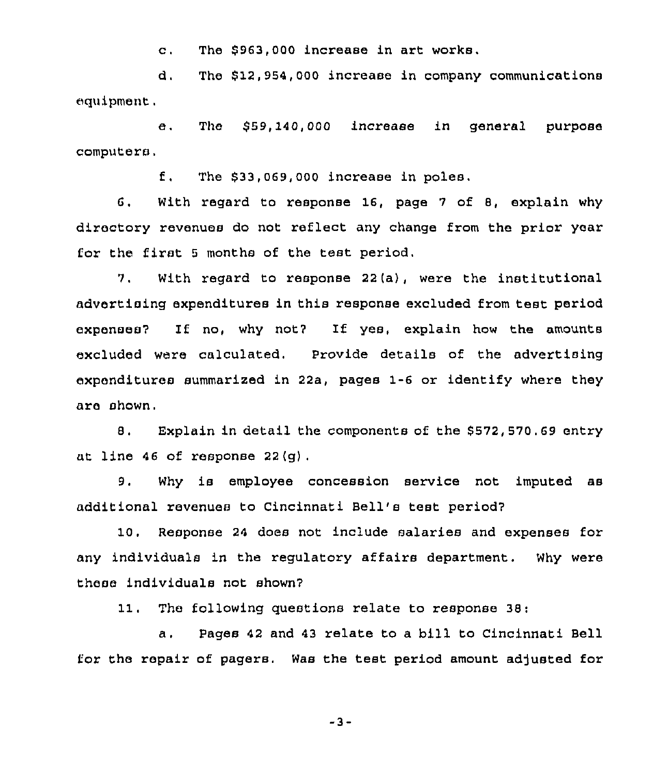c. The \$963,000 increase in art works,

d. The \$12,954,000 increase in company communications equipment.

e. The \$59,140,000 increase in general purpose computers.

f, The \$33,069,000 increase in poles.

6. With regard to response 16, page <sup>7</sup> of 8, explain why directory revenues do not reflect any change from the prior year for the first <sup>5</sup> months of the test period.

7. With regard to response 22(a), were the institutional advertising expenditures in this response excluded from test period expenses7 If no, why not7 If yes, explain how the amounts excluded were calculated. Provide details of the advertising expenditures summarized in 22a, pages 1-6 or identify where they are shown.

8. Explain in detail the components of the \$572,570.69 entry at line 46 of response  $22(q)$ .

9. Why is employee concession service not imputed as additional revenues to Cincinnati Bell's test period7

10. Response 24 does not include salaries and expenses for any individuals in the regulatory affairs department. Why were these individuals not shown?

11. The following questions relate to response 38:

a. Pages <sup>42</sup> and <sup>43</sup> relate to a bill to Cincinnati Bell for the repair of pagers. Was the test period amount adjusted for

-3-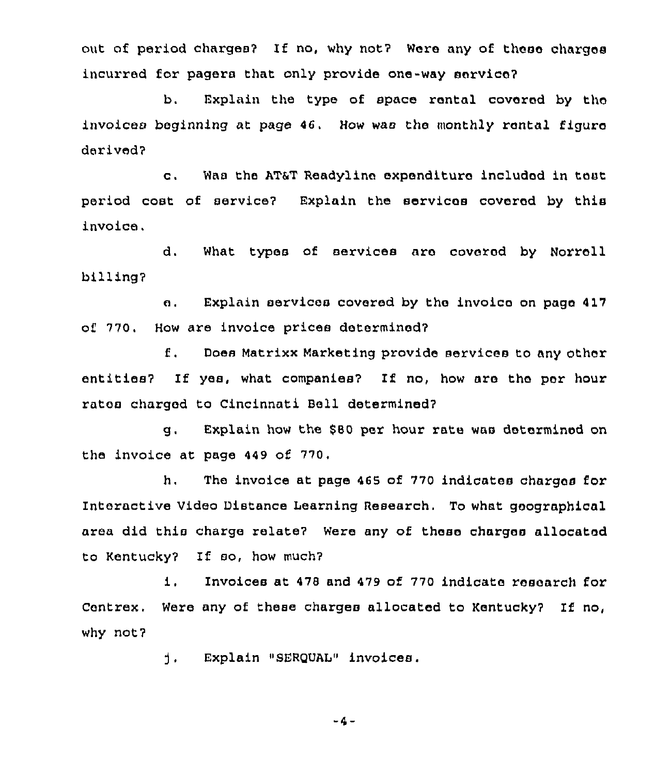out of period charges? If no, why not? Were any of these charges incurred for pagera that only provide one-way service?

b. Explain the type of apace rental covered by tho invoices beginning at page 46. How was the monthly rental figure derived?

c. Was the AT&T Readylins expenditure included in teat period cost of service? Explain the services covered by this invoice.

d. What types of services are coverod by Norroll billing'?

e. Explain services covered by ths invoice on page 4l7 of 770. How are invoice prices determined7

f. Dose Matrixx Marketing provide services to any other entities? If yes, what companies? If no, how are the per hour rates charged to Cincinnati Bell determined?

g, Explain how ths 880 psr hour rats was determined on the invoice at page 449 of 770,

h, The invoice at page 465 of 770 indicates charges for Interactive Video Distance Learning Research. To what geographical area did this charge relate? Were any of these charges allocated to Kentucky7 If eo, how much?

i. Invoices at <sup>478</sup> and <sup>479</sup> of <sup>770</sup> indicate research for Centrex. Were any of these charges allocated to Kentucky? If no, why not?

> d., Explain "SERQUAL" invoices.

> > $-4-$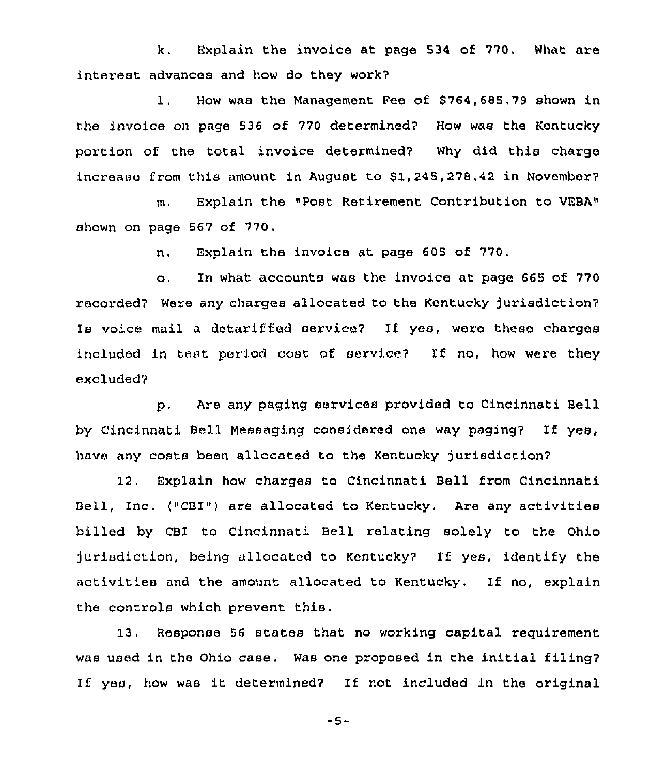k. Explain the invoice at page 534 of 770. What are interest advances and how do they work?

1, How was the Management Fee of \$ 764,685.79 shown in the invoice on page 536 of 770 determined? How was the Kentucky portion of the total invoice determined? Why did this charge increase from this amount in August to \$1,245,278,42 in November?

m, Explain the "Post Retirement Contribution to VEBA» shown on page 567 of 770.

n, Explain the invoice at page 605 of 770.

o, In what accounts was the invoice at page 665 of 770 recorded? Were any charges allocated to the Kentucky jurisdiction? ls voice mail a detarif fed service? If yes, were these charges included in test period cost of service? If no, how were they excluded?

p, Are any paging services provided to Cincinnati Bell by Cincinnati Bell Massaging considered one way paging7 If yes, have any costs been allocated to the Kentucky jurisdiction?

12. Explain how charges to Cincinnati Bell from Cincinnati Bell, Inc, ("CBI") are allocated to Kentucky. Are any activities billed by CBI to Cincinnati Bell relating solely to the Ohio )urisdiction, being allocated to Kentucky? If yes, identify the activities and the amount allocated to Kentucky, If no, explain the controls which prevent this.

13. Response 56 states that no working capital requirement was used in the Ohio case. Was one proposed in the initial filing? If yes, how was it determined? If not included in the original

-5-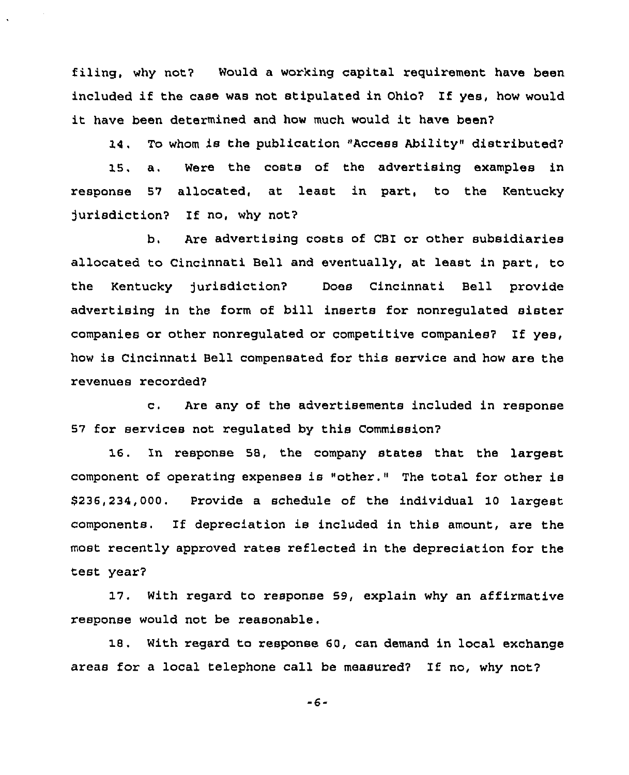filing, why not? Would a working capital requirement have been included if the case was not stipulated in Ohio? If yes, how would it have been determined and how much would it have been'

14. To whom is the publication "Access Ability" distributed? 15. a. Were the costs of the advertising examples in response 57 allocated, at least in part, to the Kentucky jurisdiction? If no, why not?

b. Are advertising costs of CBI or other subsidiaries allocated to Cincinnati Bell and eventually, at least in part, to the Kentucky )urisdiction? Does Cincinnati Bell pxovide advertising in the form of bill inserts for nonregulated sister companies or other nonregulated or competitive companies? If yes, how is Cincinnati Bell compensated for this service and how are the revenues recorded?

c. Are any of the advertisements included in response 57 for services not regulated by this Commission?

16. In response 58, the company states that the largest component of operating expenses is "other." The total for other is \$236,234,000. Provide a schedule of the individual 10 largest components. If depreciation is included in this amount, are the most recently approved rates reflected in the depreciation for the test year?

17. With regard to response 59, explain why an affirmative response would not be reasonable.

18. With regard to response 60, can demand in local exchange areas for <sup>a</sup> local telephone call be measured? If no, why not?

 $-6-$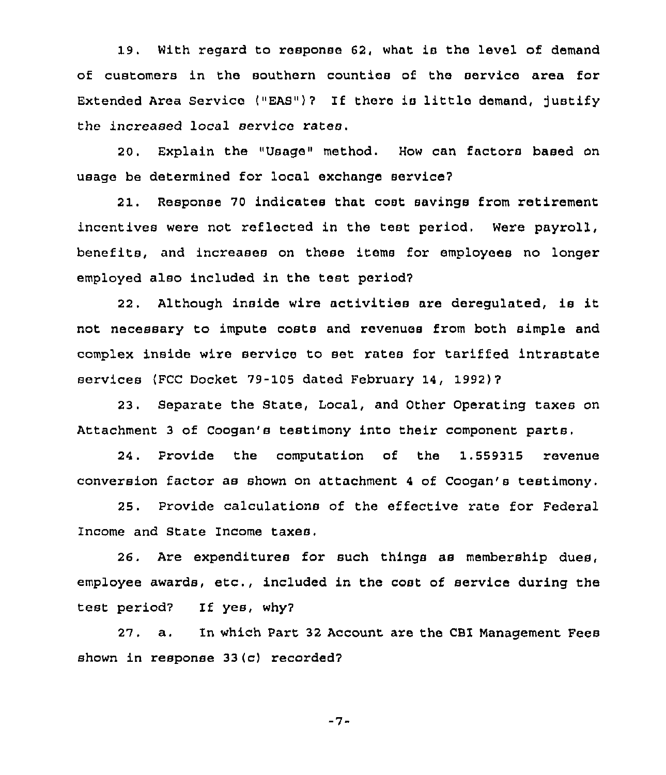19. With regard to response 62, what is the level of demand of customers in the southern counties of the service area for Extended Area Service ("EAS")? If there is little demand, justify the increased local service rates.

20. Explain the "Usage" method. How can factors baaed on usage be determined for local exchange service7

21. Response 70 indicates that coat savings from retirement incentives were not reflected in the test period. Were payroll, benefits, and increases on these items for employees no longer employed also included in the test period?

22. Although inside wire activities are deregulated, is it not necessary to impute costs and revenues from both simple and complex inside wire service to set rates for tariffed intrastate services (FCC Docket 79-105 dated February 14, 1992)?

23. Separate the State, Local, and Other Operating taxes on Attachment <sup>3</sup> of Coogan's testimony into their component parts.

24. Provide the computation of the 1,559315 revenue conversion factor as shown on attachment <sup>4</sup> of Coogan's testimony.

25. Provide calculations of the effective rate for Federal Income and State Income taxes.

26. Are expenditures for such things as membership dues, employee awards, etc., included in the cost of service during the test period7 If yes, why7

27. a. In which Part 32 Account are the CBI Management Fees shown in response 33 (c) recorded?

 $-7-$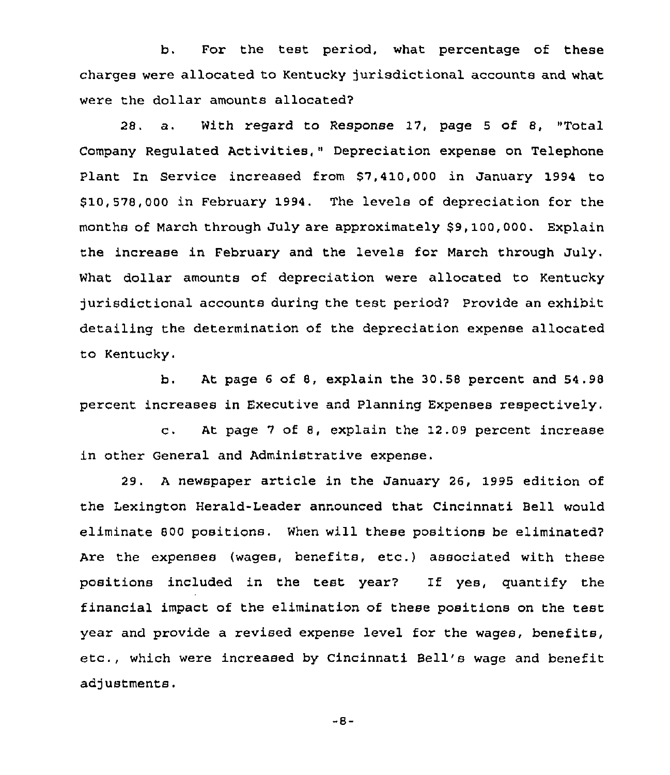b. For the test period, what percentage of these charges were allocated to Kentucky jurisdictional accounts and what were the dollar amounts allocated?

28. a. With regard to Response 17, page <sup>5</sup> of 8, "Total Company Regulated Activities," Depreciation expense on Telephone Plant In Service increased from \$7,410,000 in January 1994 to \$ 10,578,000 in February 1994. The levels of depreciation for the months of March through July are approximately \$9,100,000. Explain the increase in February and the levels for March through July. What dollar amounts of depreciation were allocated to Kentucky jurisdictional accounts during the test period? Provide an exhibit detailing the determination of the depreciation expense allocated to Kentucky

b, At page 6 of 8, explain the 30,58 percent and 54.98 percent increases in Executive and Planning Expenses respectively,

c. At page <sup>7</sup> of 8, explain the 12.09 percent increase in other General and Administrative expense.

29. <sup>A</sup> newspaper article in the January 26, 1995 edition of the Lexington Herald-Leader announced that Cincinnati Bell would eliminate 800 positions. When will these positions be eliminated? Are the expenses (wages, benefits, etc.) associated with these positions included in the test year? If yes, quantify the financial impact of the elimination of these positions on the test year and provide a revised expense level for the wages, benefits, etc., which were increased by Cincinnati Bell's wage and benefit adjustments.

-8-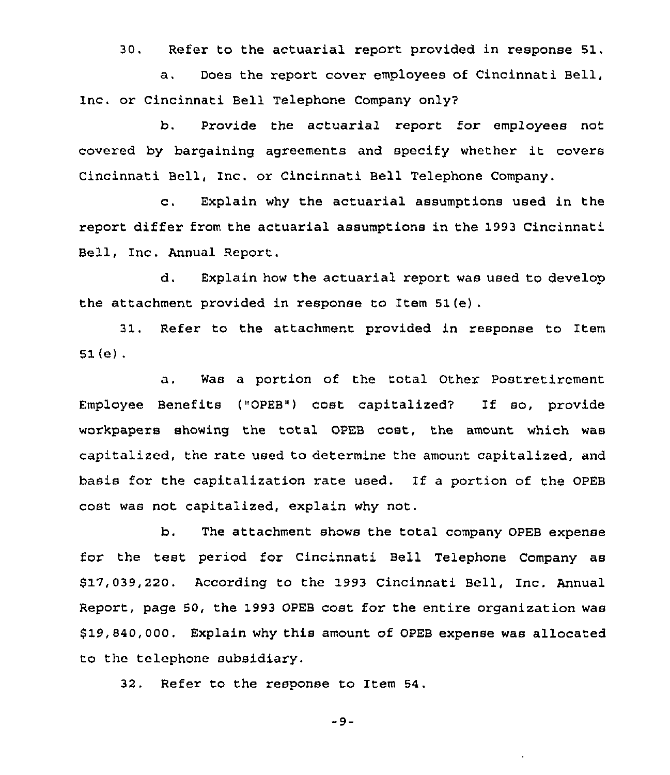30. Refer to the actuarial report provided in response 51.

a. Does the report cover employees of Cincinnati Bell, Inc. or Cincinnati Bell Telephone Company only?

b. Provide the actuarial report for employees not covered by bargaining agreements and specify whether it covers Cincinnati Bell, Inc. or Cincinnati Bell Telephone Company.

c. Explain why the actuarial assumptions Used in the report differ from the actuarial assumptions in the 1993 Cincinnati Bell, Inc. Annual Report.

d. Explain how the actuarial report was used to develop the attachment provided in response to Item 51(e) .

31. Refer to the attachment provided in response to Item  $51(e)$ .

a. Was a portion of the total Other Postretirement Employee Benefits ("OPEB") cost capitalized? If so, provide workpapers showing the total OPEB cost, the amount which was capitalized, the rate used to determine the amount capitalized, and basis for the capitalization rate used. If <sup>a</sup> portion of the OPEB cost was not capitalized, explain why not.

b. The attachment shows the total company OPEB expense for the test period for Cincinnati Bell Telephone Company as \$ 17,039,220. According to the 1993 Cincinnati Bell, Inc. Annual Report, page 50, the 1993 OPEB cost for the entire organization was 919,840,000. Explain why this amount of OPEB expense was allocated to the telephone subsidiary.

32. Refer to the response to Item 54.

 $-9-$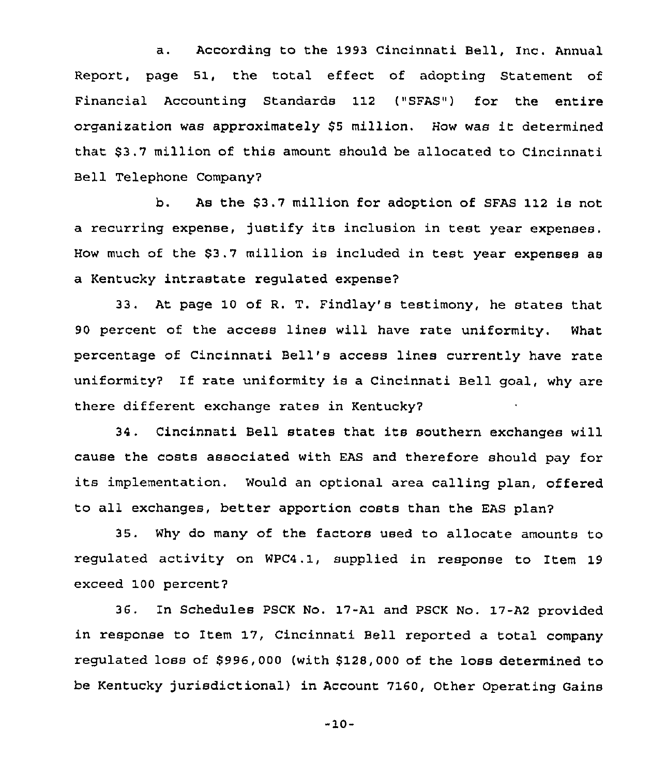a. According to the 1993 Cincinnati Bell, Inc. Annual Report, page 51, the total effect of adopting Statement of Financial Accounting Standards 112 ("SFAS") for the entire organization was approximately \$<sup>5</sup> million. How was it determined that \$3.7 million of this amount should be allocated to Cincinnati Bell Telephone Company?

b. As the \$3.7 million for adoption of SFAS 112 is not a recurring expense, justify its inclusion in test year expenses. How much of the S3.7 million is included in test year expenses as a Kentucky intrastate regulated expense?

33. At page 10 of R. T. Findlay's testimony, he states that 90 percent of the access lines will have rate uniformity. What percentage of Cincinnati Bell's access lines currently have rate uniformity? If rate uniformity is a Cincinnati Bell goal, why are there different exchange rates in Kentucky?

<sup>34</sup> . Cincinnati Bell states that its southern exchanges will cause the costs associated with EAS and therefore should pay for its implementation. Would an optional area calling plan, offered to all exchanges, better apportion costs than the EAS plan?

35. Why do many of the factors used to allocate amounts to regulated activity on WPC4.1, supplied in response to Item 19 exceed 100 percent?

36. In Schedules PSCK No. 17-Al and PSCK No. 17-A2 provided in response to Item 17, Cincinnati Bell reported a total company regulated loss of \$996,000 (with \$128,000 of the loss determined to be Kentucky jurisdictional) in Account 7160, Other Operating Gains

-10-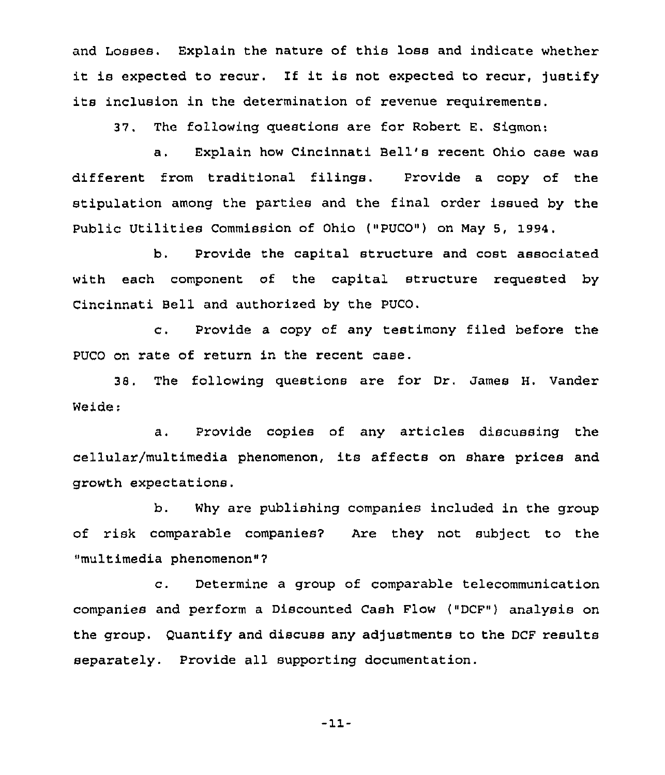and Losses. Explain the nature of this loss and indicate whether it is expected to recur. If it is not expected to recur, justify its inclusion in the determination of revenue requirements.

37. The following questions are for Robert E. Sigmon:

a. Explain how Cincinnati Bell's recent Ohio case was different from traditional filings. Provide <sup>a</sup> copy of the stipulation among the parties and the final order issued by the Public Utilities Commission of Ohio ("PUCO") on May 5, 1994.

b. Provide the capital structure and cost associated with each component of the capital structure requested by Cincinnati Bell and authorized by the PUCO.

c. Provide <sup>a</sup> copy of any testimony filed before the PUCO on rate of return in the recent case.

38. The following questions are for Dr. James H, Vender Weide:

a. Provide copies of any articles discussing the cellular/multimedia phenomenon, its affects on share prices and. growth expectations.

b. Why are publishing companies included in the group of risk comparable companies? Are they not subject to the "multimedia phenomenon"7

c. Determine <sup>a</sup> group of comparable telecommunication companies and perform a Discounted Cash Flow ("DCF") analysis on the group. Quantify and discuss any adjustments to the DCF results separately. Provide all supporting documentation.

-11-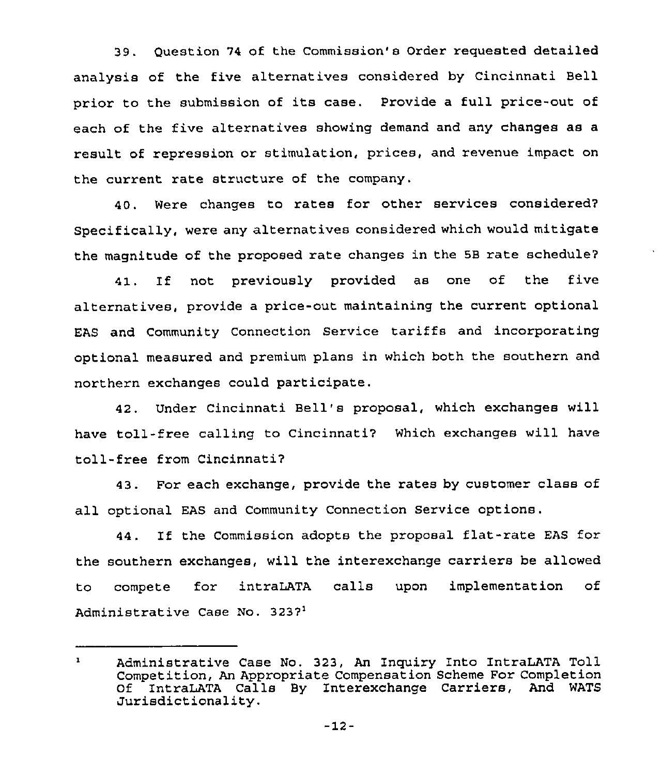39. Question 74 of the Commission's Order requested detailed analysis of the five alternatives considered by Cincinnati Bell prior to the submission of its case. Provide <sup>a</sup> full price-out of each of the five alternatives showing demand and any changes as a result of repression or stimulation, prices, and revenue impact on the current rate structure of the company.

40. Were changes to rates for other services considered? specifically, were any alternatives considered which would mitigate the magnitude of the proposed rate changes in the SB rate schedule7

If not previously provided as one of the five 41. alternatives, provide a price-out maintaining the current optional EAS and Community Connection Service tariffs and incorporating optional measured and premium plans in which both the southern and northern exchanges could participate.

42. Under Cincinnati Bell's proposal, which exchanges will have toll- free calling to Cincinnati? Which exchanges will have toll-free from Cincinnati7

43. For each exchange, provide the rates by customer class of all optional EAS and Community Connection Service options.

44. If the Commission adopts the proposal flat-rate EAS for the southern exchanges, will the interexchange carriers be allowed to compete for intraLATA calls upon implementation of Administrative Case No. 3237<sup>1</sup>

 $\mathbf{1}$ Administrative Case No. 323, An Inquiry Into IntraLATA Toll Competition, An Appropriate Compensation Scheme For Completion Of IntraLATA Calls By Interexchange Carriers, And WATS Jurisdictionality.